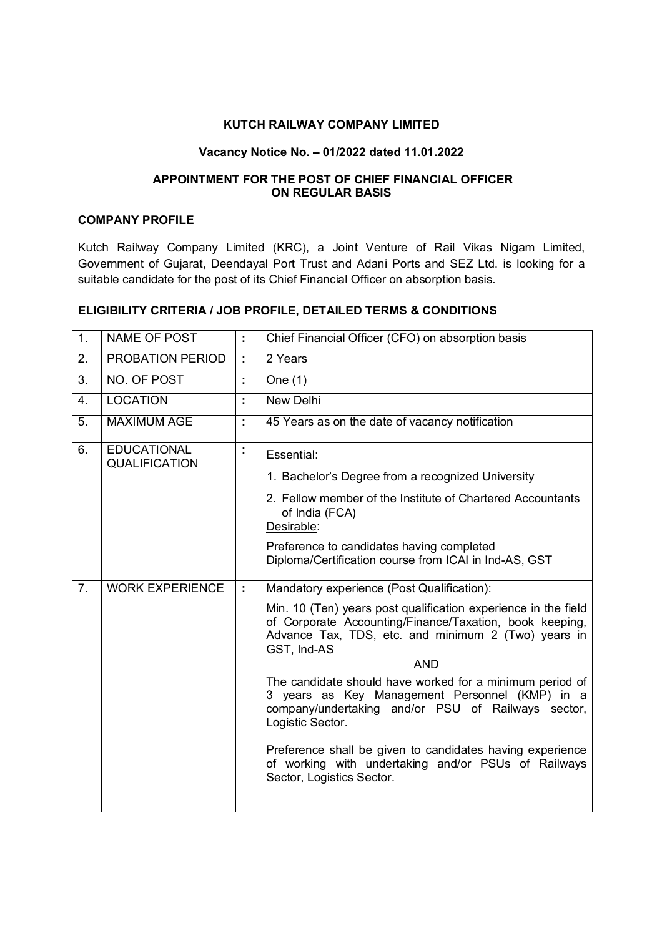### **KUTCH RAILWAY COMPANY LIMITED**

#### **Vacancy Notice No. – 01/2022 dated 11.01.2022**

### **APPOINTMENT FOR THE POST OF CHIEF FINANCIAL OFFICER ON REGULAR BASIS**

### **COMPANY PROFILE**

Kutch Railway Company Limited (KRC), a Joint Venture of Rail Vikas Nigam Limited, Government of Gujarat, Deendayal Port Trust and Adani Ports and SEZ Ltd. is looking for a suitable candidate for the post of its Chief Financial Officer on absorption basis.

# **ELIGIBILITY CRITERIA / JOB PROFILE, DETAILED TERMS & CONDITIONS**

| 1. | NAME OF POST                               | $\mathbb{I}^{\mathbb{I}}$ | Chief Financial Officer (CFO) on absorption basis                                                                                                                                               |
|----|--------------------------------------------|---------------------------|-------------------------------------------------------------------------------------------------------------------------------------------------------------------------------------------------|
| 2. | PROBATION PERIOD                           | $\mathbb{C}^2$            | 2 Years                                                                                                                                                                                         |
| 3. | NO. OF POST                                | t,                        | One $(1)$                                                                                                                                                                                       |
| 4. | <b>LOCATION</b>                            | t                         | New Delhi                                                                                                                                                                                       |
| 5. | <b>MAXIMUM AGE</b>                         | t,                        | 45 Years as on the date of vacancy notification                                                                                                                                                 |
| 6. | <b>EDUCATIONAL</b><br><b>QUALIFICATION</b> | Ì.                        | Essential:                                                                                                                                                                                      |
|    |                                            |                           | 1. Bachelor's Degree from a recognized University                                                                                                                                               |
|    |                                            |                           | 2. Fellow member of the Institute of Chartered Accountants<br>of India (FCA)<br>Desirable:                                                                                                      |
|    |                                            |                           | Preference to candidates having completed<br>Diploma/Certification course from ICAI in Ind-AS, GST                                                                                              |
| 7. | <b>WORK EXPERIENCE</b>                     | ÷                         | Mandatory experience (Post Qualification):                                                                                                                                                      |
|    |                                            |                           | Min. 10 (Ten) years post qualification experience in the field<br>of Corporate Accounting/Finance/Taxation, book keeping,<br>Advance Tax, TDS, etc. and minimum 2 (Two) years in<br>GST, Ind-AS |
|    |                                            |                           | <b>AND</b>                                                                                                                                                                                      |
|    |                                            |                           | The candidate should have worked for a minimum period of<br>3 years as Key Management Personnel (KMP) in a<br>company/undertaking and/or PSU of Railways sector,<br>Logistic Sector.            |
|    |                                            |                           | Preference shall be given to candidates having experience<br>of working with undertaking and/or PSUs of Railways<br>Sector, Logistics Sector.                                                   |
|    |                                            |                           |                                                                                                                                                                                                 |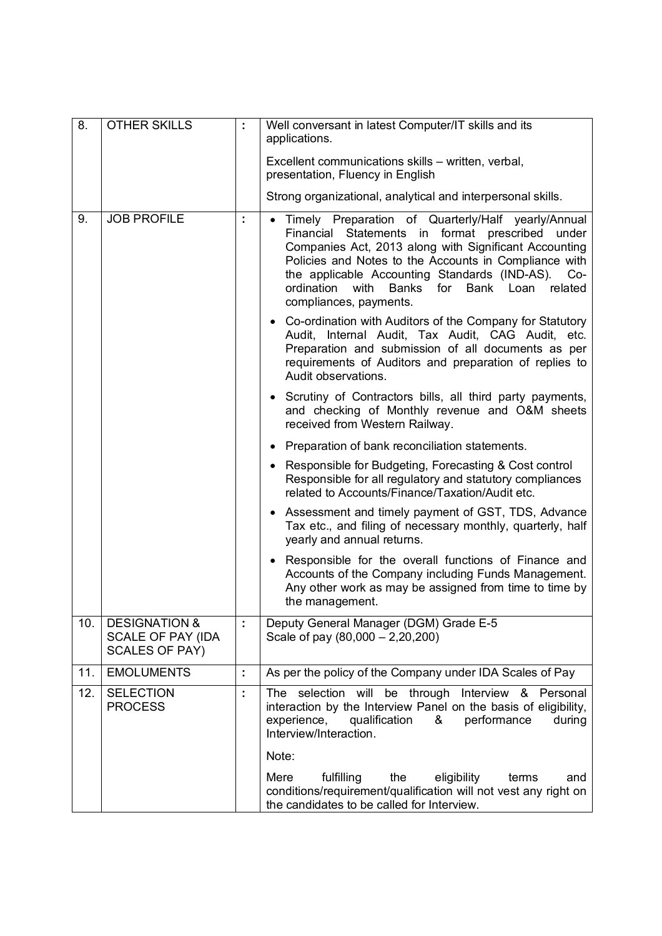| $\overline{8}$ . | <b>OTHER SKILLS</b>                                                    |    | Well conversant in latest Computer/IT skills and its<br>applications.                                                                                                                                                                                                                                                                                                         |  |
|------------------|------------------------------------------------------------------------|----|-------------------------------------------------------------------------------------------------------------------------------------------------------------------------------------------------------------------------------------------------------------------------------------------------------------------------------------------------------------------------------|--|
|                  |                                                                        |    | Excellent communications skills - written, verbal,<br>presentation, Fluency in English                                                                                                                                                                                                                                                                                        |  |
|                  |                                                                        |    | Strong organizational, analytical and interpersonal skills.                                                                                                                                                                                                                                                                                                                   |  |
| 9.               | <b>JOB PROFILE</b>                                                     | ÷  | • Timely Preparation of Quarterly/Half yearly/Annual<br>Financial Statements in format prescribed<br>under<br>Companies Act, 2013 along with Significant Accounting<br>Policies and Notes to the Accounts in Compliance with<br>the applicable Accounting Standards (IND-AS).<br>Co-<br>with<br><b>Banks</b><br>for Bank Loan related<br>ordination<br>compliances, payments. |  |
|                  |                                                                        |    | • Co-ordination with Auditors of the Company for Statutory<br>Audit, Internal Audit, Tax Audit, CAG Audit, etc.<br>Preparation and submission of all documents as per<br>requirements of Auditors and preparation of replies to<br>Audit observations.                                                                                                                        |  |
|                  |                                                                        |    | • Scrutiny of Contractors bills, all third party payments,<br>and checking of Monthly revenue and O&M sheets<br>received from Western Railway.                                                                                                                                                                                                                                |  |
|                  |                                                                        |    | • Preparation of bank reconciliation statements.                                                                                                                                                                                                                                                                                                                              |  |
|                  |                                                                        |    | • Responsible for Budgeting, Forecasting & Cost control<br>Responsible for all regulatory and statutory compliances<br>related to Accounts/Finance/Taxation/Audit etc.                                                                                                                                                                                                        |  |
|                  |                                                                        |    | Assessment and timely payment of GST, TDS, Advance<br>Tax etc., and filing of necessary monthly, quarterly, half<br>yearly and annual returns.                                                                                                                                                                                                                                |  |
|                  |                                                                        |    | Responsible for the overall functions of Finance and<br>Accounts of the Company including Funds Management.<br>Any other work as may be assigned from time to time by<br>the management.                                                                                                                                                                                      |  |
| 10.              | <b>DESIGNATION &amp;</b><br>SCALE OF PAY (IDA<br><b>SCALES OF PAY)</b> |    | Deputy General Manager (DGM) Grade E-5<br>Scale of pay $(80,000 - 2,20,200)$                                                                                                                                                                                                                                                                                                  |  |
| 11.              | <b>EMOLUMENTS</b>                                                      | t, | As per the policy of the Company under IDA Scales of Pay                                                                                                                                                                                                                                                                                                                      |  |
| 12.              | <b>SELECTION</b><br><b>PROCESS</b>                                     | t, | The selection will be through Interview & Personal<br>interaction by the Interview Panel on the basis of eligibility,<br>experience,<br>qualification &<br>performance<br>during<br>Interview/Interaction.                                                                                                                                                                    |  |
|                  |                                                                        |    | Note:                                                                                                                                                                                                                                                                                                                                                                         |  |
|                  |                                                                        |    | fulfilling<br>eligibility<br>Mere<br>the<br>terms<br>and<br>conditions/requirement/qualification will not vest any right on<br>the candidates to be called for Interview.                                                                                                                                                                                                     |  |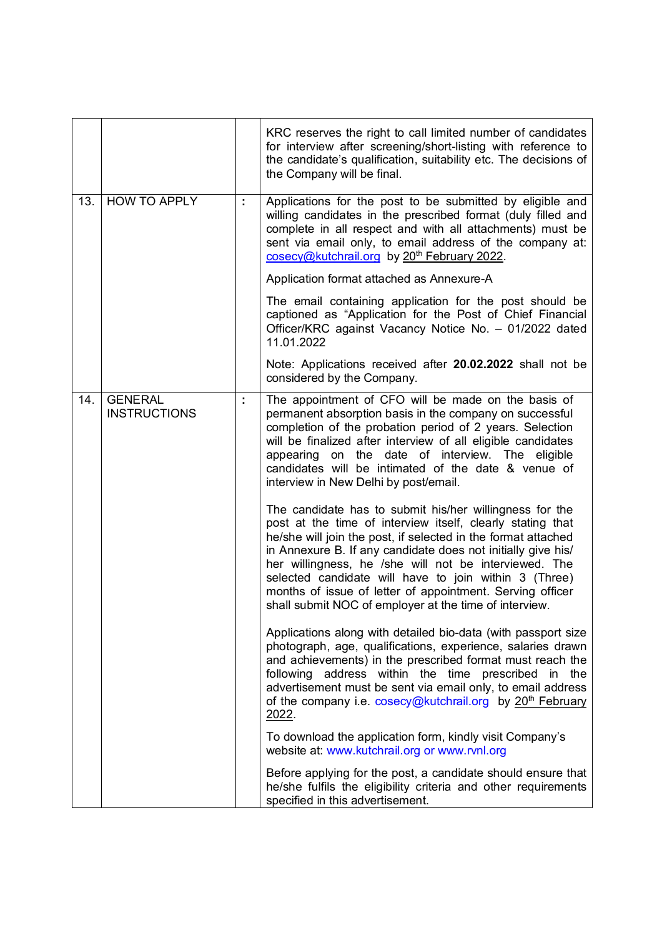|     |                                       |    | KRC reserves the right to call limited number of candidates<br>for interview after screening/short-listing with reference to<br>the candidate's qualification, suitability etc. The decisions of<br>the Company will be final.                                                                                                                                                                                                                            |
|-----|---------------------------------------|----|-----------------------------------------------------------------------------------------------------------------------------------------------------------------------------------------------------------------------------------------------------------------------------------------------------------------------------------------------------------------------------------------------------------------------------------------------------------|
| 13. | <b>HOW TO APPLY</b>                   | ÷. | Applications for the post to be submitted by eligible and<br>willing candidates in the prescribed format (duly filled and<br>complete in all respect and with all attachments) must be<br>sent via email only, to email address of the company at:<br>cosecy@kutchrail.org by 20 <sup>th</sup> February 2022.                                                                                                                                             |
|     |                                       |    | Application format attached as Annexure-A                                                                                                                                                                                                                                                                                                                                                                                                                 |
|     |                                       |    | The email containing application for the post should be<br>captioned as "Application for the Post of Chief Financial<br>Officer/KRC against Vacancy Notice No. - 01/2022 dated<br>11.01.2022                                                                                                                                                                                                                                                              |
|     |                                       |    | Note: Applications received after 20.02.2022 shall not be<br>considered by the Company.                                                                                                                                                                                                                                                                                                                                                                   |
| 14. | <b>GENERAL</b><br><b>INSTRUCTIONS</b> | ÷  | The appointment of CFO will be made on the basis of<br>permanent absorption basis in the company on successful<br>completion of the probation period of 2 years. Selection<br>will be finalized after interview of all eligible candidates<br>appearing on the date of interview. The eligible<br>candidates will be intimated of the date & venue of<br>interview in New Delhi by post/email.<br>The candidate has to submit his/her willingness for the |
|     |                                       |    | post at the time of interview itself, clearly stating that<br>he/she will join the post, if selected in the format attached<br>in Annexure B. If any candidate does not initially give his/<br>her willingness, he /she will not be interviewed. The<br>selected candidate will have to join within 3 (Three)<br>months of issue of letter of appointment. Serving officer<br>shall submit NOC of employer at the time of interview.                      |
|     |                                       |    | Applications along with detailed bio-data (with passport size<br>photograph, age, qualifications, experience, salaries drawn<br>and achievements) in the prescribed format must reach the<br>address within the time prescribed<br>following<br>in the<br>advertisement must be sent via email only, to email address<br>of the company i.e. cosecy@kutchrail.org by 20 <sup>th</sup> February<br>2022.                                                   |
|     |                                       |    | To download the application form, kindly visit Company's<br>website at: www.kutchrail.org or www.rvnl.org                                                                                                                                                                                                                                                                                                                                                 |
|     |                                       |    | Before applying for the post, a candidate should ensure that<br>he/she fulfils the eligibility criteria and other requirements<br>specified in this advertisement.                                                                                                                                                                                                                                                                                        |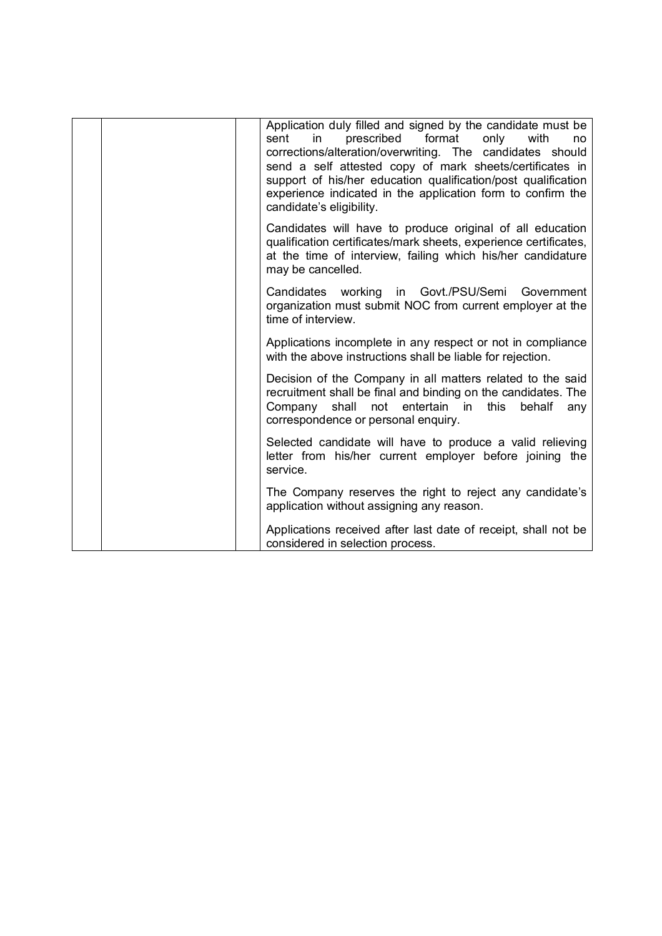| Application duly filled and signed by the candidate must be<br>prescribed<br>format<br>only<br>with<br>sent<br>in.<br>no<br>corrections/alteration/overwriting. The candidates should<br>send a self attested copy of mark sheets/certificates in<br>support of his/her education qualification/post qualification<br>experience indicated in the application form to confirm the<br>candidate's eligibility. |
|---------------------------------------------------------------------------------------------------------------------------------------------------------------------------------------------------------------------------------------------------------------------------------------------------------------------------------------------------------------------------------------------------------------|
| Candidates will have to produce original of all education<br>qualification certificates/mark sheets, experience certificates,<br>at the time of interview, failing which his/her candidature<br>may be cancelled.                                                                                                                                                                                             |
| Candidates<br>working<br>in Govt./PSU/Semi<br>Government<br>organization must submit NOC from current employer at the<br>time of interview.                                                                                                                                                                                                                                                                   |
| Applications incomplete in any respect or not in compliance<br>with the above instructions shall be liable for rejection.                                                                                                                                                                                                                                                                                     |
| Decision of the Company in all matters related to the said<br>recruitment shall be final and binding on the candidates. The<br>shall<br>not<br>entertain in<br>Company<br>this<br>behalf<br>any<br>correspondence or personal enquiry.                                                                                                                                                                        |
| Selected candidate will have to produce a valid relieving<br>letter from his/her current employer before joining the<br>service.                                                                                                                                                                                                                                                                              |
| The Company reserves the right to reject any candidate's<br>application without assigning any reason.                                                                                                                                                                                                                                                                                                         |
| Applications received after last date of receipt, shall not be<br>considered in selection process.                                                                                                                                                                                                                                                                                                            |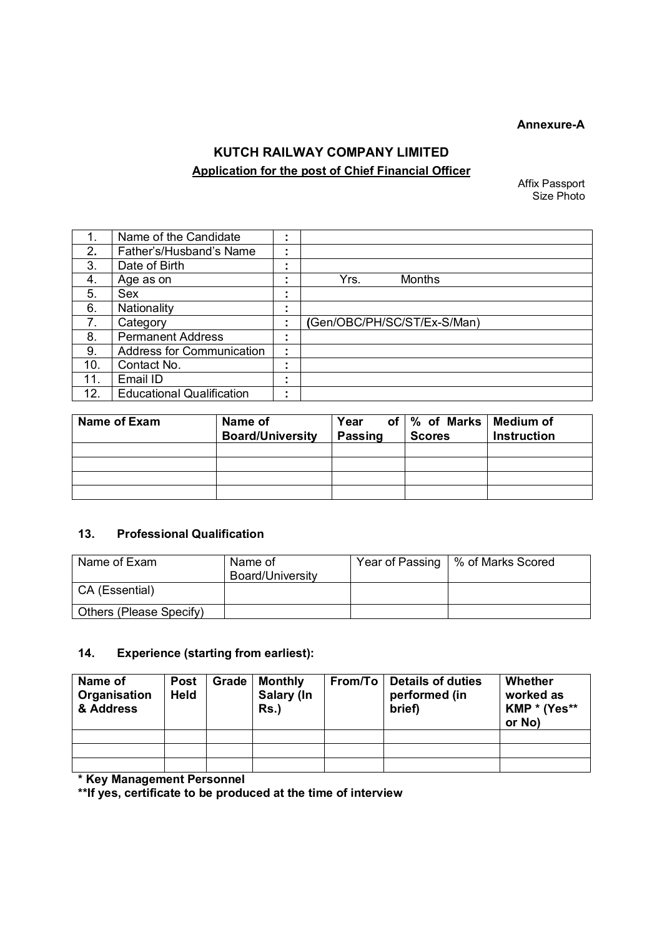#### **Annexure-A**

# **KUTCH RAILWAY COMPANY LIMITED Application for the post of Chief Financial Officer**

Affix Passport Size Photo

|     | Name of the Candidate            | $\blacksquare$      |                             |
|-----|----------------------------------|---------------------|-----------------------------|
| 2.  | Father's/Husband's Name          | ٠.                  |                             |
| 3.  | Date of Birth                    |                     |                             |
| 4.  | Age as on                        |                     | <b>Months</b><br>Yrs.       |
| 5.  | Sex                              | ٠.                  |                             |
| 6.  | Nationality                      |                     |                             |
| 7.  | Category                         | ٠<br>$\blacksquare$ | (Gen/OBC/PH/SC/ST/Ex-S/Man) |
| 8.  | <b>Permanent Address</b>         | $\blacksquare$      |                             |
| 9.  | <b>Address for Communication</b> | ٠<br>$\blacksquare$ |                             |
| 10. | Contact No.                      | ٠.                  |                             |
| 11. | Email ID                         | $\blacksquare$      |                             |
| 12. | <b>Educational Qualification</b> | ٠<br>٠.             |                             |

| Name of Exam | Name of<br><b>Board/University</b> | Year<br><b>Passing</b> | of   % of Marks   Medium of<br><b>Scores</b> | <b>Instruction</b> |
|--------------|------------------------------------|------------------------|----------------------------------------------|--------------------|
|              |                                    |                        |                                              |                    |
|              |                                    |                        |                                              |                    |
|              |                                    |                        |                                              |                    |
|              |                                    |                        |                                              |                    |

## **13. Professional Qualification**

| l Name of Exam          | Name of<br>Board/University | Year of Passing   % of Marks Scored |
|-------------------------|-----------------------------|-------------------------------------|
| CA (Essential)          |                             |                                     |
| Others (Please Specify) |                             |                                     |

# **14. Experience (starting from earliest):**

| Name of<br>Organisation<br>& Address | <b>Post</b><br><b>Held</b> | Grade | <b>Monthly</b><br>Salary (In<br>$Rs.$ ) | From/To | Details of duties<br>performed (in<br>brief) | Whether<br>worked as<br>KMP * (Yes**<br>or No) |
|--------------------------------------|----------------------------|-------|-----------------------------------------|---------|----------------------------------------------|------------------------------------------------|
|                                      |                            |       |                                         |         |                                              |                                                |
|                                      |                            |       |                                         |         |                                              |                                                |
|                                      |                            |       |                                         |         |                                              |                                                |

**\* Key Management Personnel** 

**\*\*If yes, certificate to be produced at the time of interview**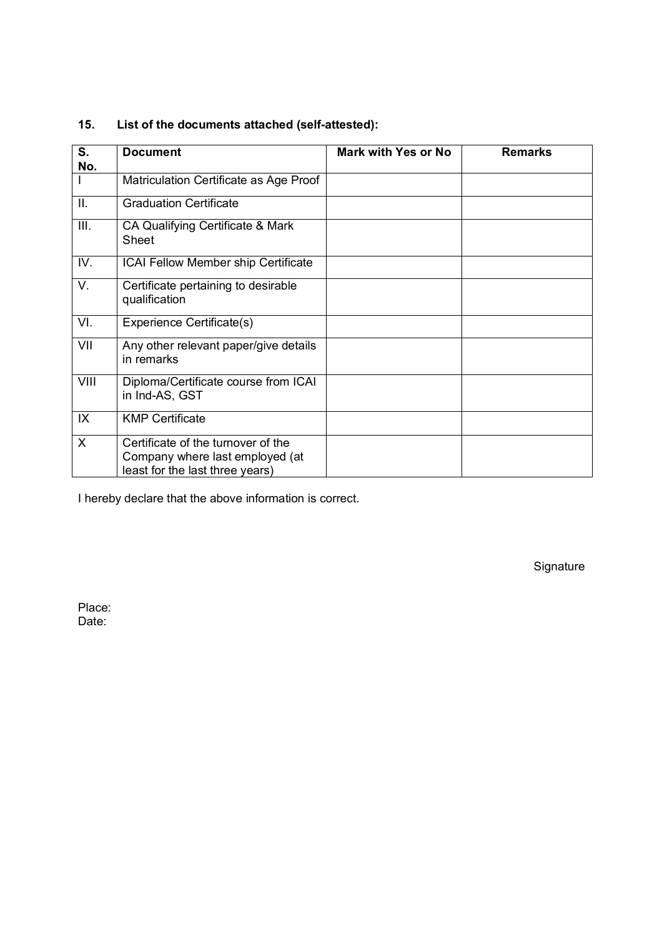| S.           | <b>Document</b>                                                                                          | <b>Mark with Yes or No</b> | <b>Remarks</b> |
|--------------|----------------------------------------------------------------------------------------------------------|----------------------------|----------------|
| No.          |                                                                                                          |                            |                |
|              | Matriculation Certificate as Age Proof                                                                   |                            |                |
| Ш.           | <b>Graduation Certificate</b>                                                                            |                            |                |
| III.         | CA Qualifying Certificate & Mark<br>Sheet                                                                |                            |                |
| IV.          | ICAI Fellow Member ship Certificate                                                                      |                            |                |
| V.           | Certificate pertaining to desirable<br>qualification                                                     |                            |                |
| VI.          | Experience Certificate(s)                                                                                |                            |                |
| VII          | Any other relevant paper/give details<br>in remarks                                                      |                            |                |
| VIII         | Diploma/Certificate course from ICAI<br>in Ind-AS, GST                                                   |                            |                |
| IX           | <b>KMP Certificate</b>                                                                                   |                            |                |
| $\mathsf{X}$ | Certificate of the turnover of the<br>Company where last employed (at<br>least for the last three years) |                            |                |

# **15. List of the documents attached (self-attested):**

I hereby declare that the above information is correct.

Signature

Place: Date: